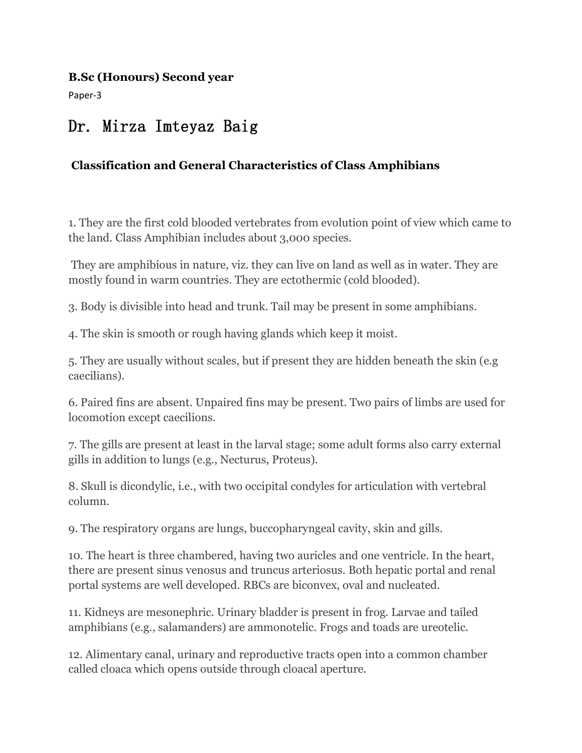#### **B.Sc (Honours) Second year**

Paper-3

# Dr. Mirza Imteyaz Baig

## **Classification and GeneralCharacteristics of Class Amphibians**

1. They are the first cold blooded vertebrates from evolution point of view which came to the land. Class Amphibian includes about 3,000 species.

They are amphibious in nature, viz. they can live on land as well as in water. They are mostly found in warm countries. They are ectothermic (cold blooded).

3. Body is divisible into head and trunk. Tail may be present in some amphibians.

4. The skin is smooth or rough having glands which keep it moist.

5. They are usually without scales, but if present they are hidden beneath the skin (e.g caecilians).

6. Paired fins are absent. Unpaired fins may be present. Two pairs of limbs are used for locomotion except caecilions.

7. The gills are present at least in the larval stage; some adult forms also carry external gills in addition to lungs (e.g., Necturus, Proteus).

8. Skull is dicondylic, i.e., with two occipital condyles for articulation with vertebral column.

9. The respiratory organs are lungs, buccopharyngeal cavity, skin and gills.

10. The heart is three chambered, having two auricles and one ventricle. In the heart, there are present sinus venosus and truncus arteriosus. Both hepatic portal and renal portal systems are well developed. RBCs are biconvex, oval and nucleated.

11. Kidneys are mesonephric. Urinary bladder is present in frog. Larvae and tailed amphibians (e.g., salamanders) are ammonotelic. Frogs and toads are ureotelic.

12. Alimentary canal, urinary and reproductive tracts open into a common chamber called cloaca which opens outside through cloacal aperture.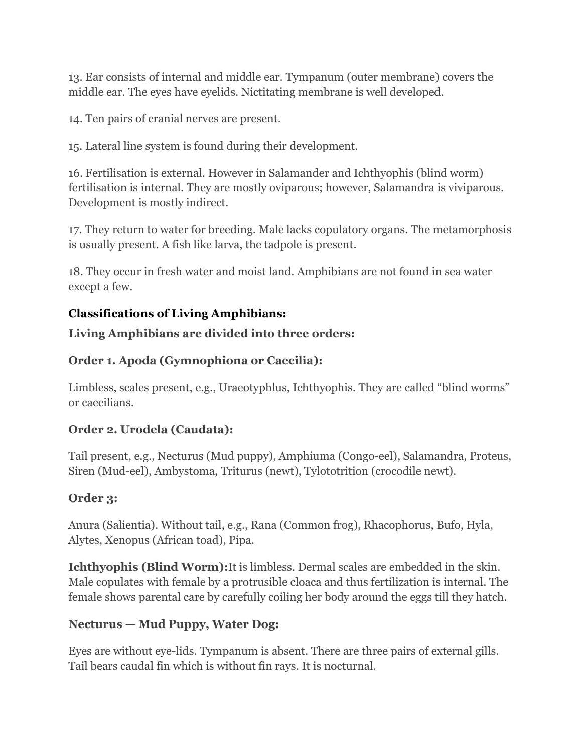13. Ear consists of internal and middle ear. Tympanum (outer membrane) covers the middle ear. The eyes have eyelids. Nictitating membrane is well developed.

14. Ten pairs of cranial nerves are present.

15. Lateral line system is found during their development.

16. Fertilisation is external. However in Salamander and Ichthyophis (blind worm) fertilisation is internal. They are mostly oviparous; however, Salamandra is viviparous. Development is mostly indirect.

17. They return to water for breeding. Male lacks copulatory organs. The metamorphosis is usually present. A fish like larva, the tadpole is present.

18. They occur in fresh water and moist land. Amphibians are not found in seawater except a few.

## **Classifications of Living Amphibians:**

## **Living Amphibians are divided into three orders:**

## **Order 1. Apoda (Gymnophiona or Caecilia):**

Limbless, scales present, e.g., Uraeotyphlus, Ichthyophis. They are called "blind worms" or caecilians.

## **Order 2. Urodela (Caudata):**

Tail present, e.g., Necturus (Mud puppy), Amphiuma (Congo-eel), Salamandra, Proteus, Siren (Mud-eel), Ambystoma, Triturus (newt), Tylototrition (crocodile newt).

## **Order 3:**

Anura (Salientia). Without tail, e.g., Rana (Common frog), Rhacophorus, Bufo, Hyla, Alytes, Xenopus (African toad), Pipa.

**Ichthyophis (Blind Worm):**It is limbless. Dermal scales are embedded in the skin. Male copulates with female by a protrusible cloaca and thus fertilization is internal. The female shows parental care by carefully coiling her body around the eggs till they hatch.

## **Necturus — Mud Puppy, Water Dog:**

Eyes are without eye-lids. Tympanum is absent. There are three pairs of external gills. Tail bears caudal fin which is without fin rays. It is nocturnal.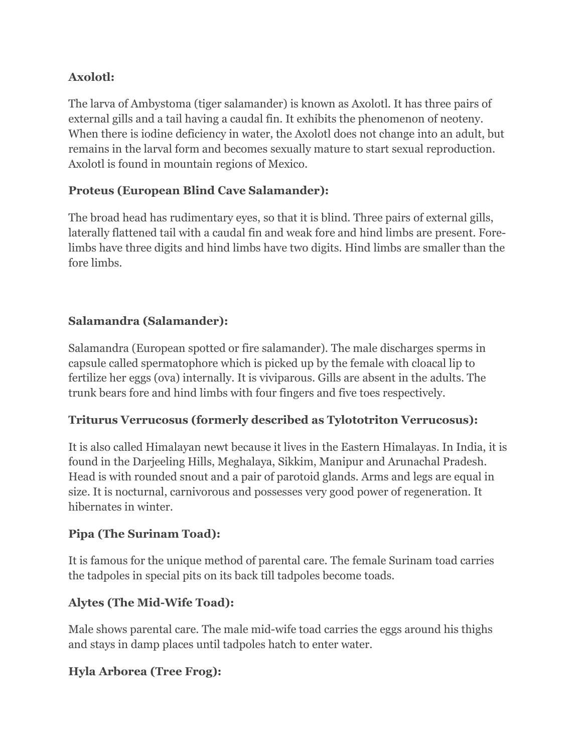## **Axolotl:**

The larva of Ambystoma (tiger salamander) is known as Axolotl. It has three pairs of external gills and a tail having a caudal fin. It exhibits the phenomenon of neoteny. When there is iodine deficiency in water, the Axolotl does not change into an adult, but remains in the larval form and becomes sexually mature to start sexual reproduction. Axolotl is found in mountain regions of Mexico.

## **Proteus (European Blind Cave Salamander):**

The broad head has rudimentary eyes, so that it is blind. Three pairs of external gills, laterally flattened tail with a caudal fin and weak fore and hind limbs are present. Forelimbs have three digits and hind limbs have two digits. Hind limbs are smaller than the fore limbs.

## **Salamandra (Salamander):**

Salamandra (European spotted or fire salamander). The male discharges sperms in capsule called spermatophore which is picked up by the female with cloacal lip to fertilize her eggs (ova) internally. It is viviparous. Gills are absent in the adults. The trunk bears fore and hind limbs with four fingers and five toes respectively.

## **Triturus Verrucosus (formerly described as Tylototriton Verrucosus):**

It is also called Himalayan newt because it lives in the Eastern Himalayas. In India, it is found in the Darjeeling Hills, Meghalaya, Sikkim, Manipur and Arunachal Pradesh. Head is with rounded snout and a pair of parotoid glands. Arms and legs are equal in size. It is nocturnal, carnivorous and possesses very good power of regeneration. It hibernates in winter.

## **Pipa (The Surinam Toad):**

It is famous for the unique method of parental care. The female Surinam toad carries the tadpoles in special pits on its back till tadpoles become toads.

## **Alytes (The Mid-Wife Toad):**

Male shows parental care. The male mid-wife toad carries the eggs around his thighs and stays in damp places until tadpoles hatch to enter water.

## **Hyla Arborea (Tree Frog):**